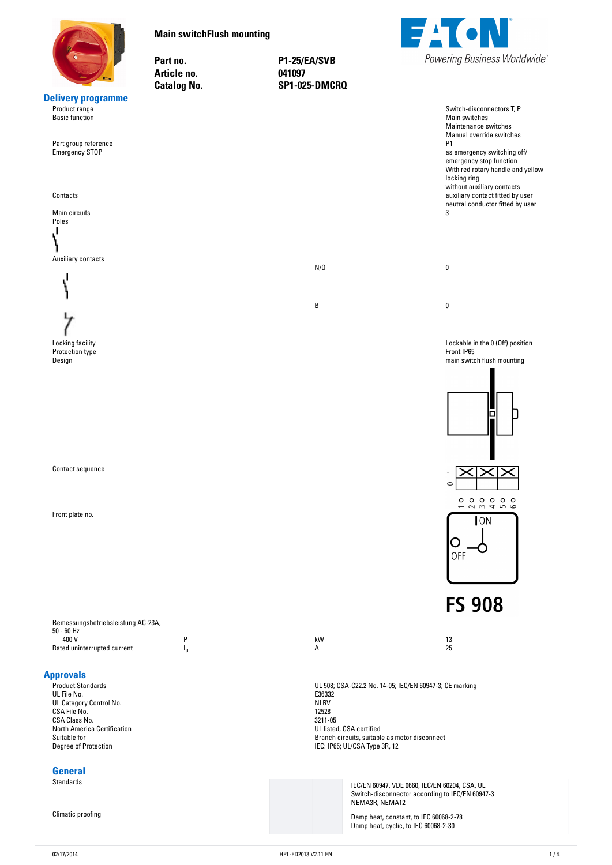<span id="page-0-0"></span>

**Main-switchFlush-mounting**

Part no. Article no.

**no. P1-25/EA/SVB no. 041097**



|                                                                                                                                                                                                | <b>Catalog No.</b> | SP1-025-DMCRQ                                                                                                                                           |                                                                                                                                                                                                                                                                                                                                       |
|------------------------------------------------------------------------------------------------------------------------------------------------------------------------------------------------|--------------------|---------------------------------------------------------------------------------------------------------------------------------------------------------|---------------------------------------------------------------------------------------------------------------------------------------------------------------------------------------------------------------------------------------------------------------------------------------------------------------------------------------|
| <b>Delivery programme</b><br>Product range<br><b>Basic function</b><br>Part group reference<br><b>Emergency STOP</b><br>Contacts<br>Main circuits<br>Poles                                     |                    |                                                                                                                                                         | Switch-disconnectors T, P<br>Main switches<br>Maintenance switches<br>Manual override switches<br><b>P1</b><br>as emergency switching off/<br>emergency stop function<br>With red rotary handle and yellow<br>locking ring<br>without auxiliary contacts<br>auxiliary contact fitted by user<br>neutral conductor fitted by user<br>3 |
| Auxiliary contacts                                                                                                                                                                             |                    | N/O                                                                                                                                                     | 0                                                                                                                                                                                                                                                                                                                                     |
|                                                                                                                                                                                                |                    | B                                                                                                                                                       | $\pmb{0}$                                                                                                                                                                                                                                                                                                                             |
| Locking facility<br>Protection type<br>Design<br>Contact sequence                                                                                                                              |                    |                                                                                                                                                         | Lockable in the 0 (Off) position<br>Front IP65<br>main switch flush mounting                                                                                                                                                                                                                                                          |
| Front plate no.                                                                                                                                                                                |                    |                                                                                                                                                         | $\circ$<br>000000<br>23456<br>$\overline{\phantom{0}}$<br>$\overline{\text{ION}}$<br><b>OFF</b><br><b>FS 908</b>                                                                                                                                                                                                                      |
| Bemessungsbetriebsleistung AC-23A,<br>$50 - 60$ Hz<br>400 V<br>Rated uninterrupted current                                                                                                     | P<br>ı"            | kW<br>А                                                                                                                                                 | 13<br>25                                                                                                                                                                                                                                                                                                                              |
| <b>Approvals</b><br><b>Product Standards</b><br>UL File No.<br>UL Category Control No.<br>CSA File No.<br>CSA Class No.<br>North America Certification<br>Suitable for<br>Degree of Protection |                    | E36332<br><b>NLRV</b><br>12528<br>3211-05<br>UL listed, CSA certified<br>Branch circuits, suitable as motor disconnect<br>IEC: IP65; UL/CSA Type 3R, 12 | UL 508; CSA-C22.2 No. 14-05; IEC/EN 60947-3; CE marking                                                                                                                                                                                                                                                                               |
| <b>General</b><br><b>Standards</b>                                                                                                                                                             |                    | NEMA3R, NEMA12                                                                                                                                          | IEC/EN 60947, VDE 0660, IEC/EN 60204, CSA, UL<br>Switch-disconnector according to IEC/EN 60947-3                                                                                                                                                                                                                                      |
| Climatic proofing                                                                                                                                                                              |                    |                                                                                                                                                         | Damp heat, constant, to IEC 60068-2-78<br>Damp heat, cyclic, to IEC 60068-2-30                                                                                                                                                                                                                                                        |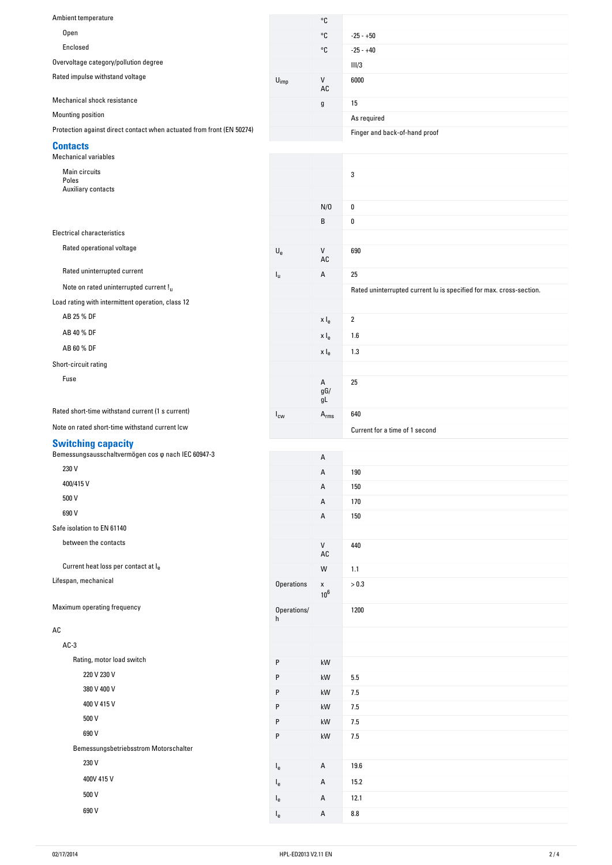| Ambient temperature                                                   |                             | °C                                  |                                                                     |
|-----------------------------------------------------------------------|-----------------------------|-------------------------------------|---------------------------------------------------------------------|
| Open                                                                  |                             | °C                                  | $-25 - +50$                                                         |
| Enclosed                                                              |                             | °C                                  | $-25 - +40$                                                         |
| Overvoltage category/pollution degree                                 |                             |                                     | III/3                                                               |
| Rated impulse withstand voltage                                       | $\mathsf{U}_{\mathsf{imp}}$ | V<br>AC                             | 6000                                                                |
| Mechanical shock resistance                                           |                             | g                                   | 15                                                                  |
| Mounting position                                                     |                             |                                     | As required                                                         |
| Protection against direct contact when actuated from front (EN 50274) |                             |                                     | Finger and back-of-hand proof                                       |
| <b>Contacts</b><br><b>Mechanical variables</b>                        |                             |                                     |                                                                     |
| Main circuits                                                         |                             |                                     | 3                                                                   |
| Poles<br>Auxiliary contacts                                           |                             |                                     |                                                                     |
|                                                                       |                             |                                     |                                                                     |
|                                                                       |                             | N/0                                 | 0                                                                   |
| <b>Electrical characteristics</b>                                     |                             | B                                   | 0                                                                   |
| Rated operational voltage                                             |                             |                                     |                                                                     |
|                                                                       | $\mathsf{U}_{\mathsf{e}}$   | V<br>AC                             | 690                                                                 |
| Rated uninterrupted current                                           | $I_{\rm u}$                 | А                                   | 25                                                                  |
| Note on rated uninterrupted current !u                                |                             |                                     | Rated uninterrupted current lu is specified for max. cross-section. |
| Load rating with intermittent operation, class 12                     |                             |                                     |                                                                     |
| AB 25 % DF                                                            |                             | x I <sub>e</sub>                    | $\overline{2}$                                                      |
| AB 40 % DF                                                            |                             | x I <sub>e</sub>                    | 1.6                                                                 |
| AB 60 % DF                                                            |                             | x l <sub>e</sub>                    | 1.3                                                                 |
| Short-circuit rating                                                  |                             |                                     |                                                                     |
| Fuse                                                                  |                             | A                                   | 25                                                                  |
|                                                                       |                             | $gG/$<br>gL                         |                                                                     |
| Rated short-time withstand current (1 s current)                      | $I_{\text{cw}}$             | $\mathsf{A}_{\mathsf{rms}}$         | 640                                                                 |
|                                                                       |                             |                                     |                                                                     |
| Note on rated short-time withstand current lcw                        |                             |                                     | Current for a time of 1 second                                      |
| <b>Switching capacity</b>                                             |                             |                                     |                                                                     |
| Bemessungsausschaltvermögen cos o nach IEC 60947-3                    |                             | Α                                   |                                                                     |
| 230 V                                                                 |                             | Α                                   | 190                                                                 |
| 400/415V                                                              |                             | Α                                   | 150                                                                 |
| 500 V                                                                 |                             | Α                                   | 170                                                                 |
| 690 V                                                                 |                             | Α                                   | 150                                                                 |
| Safe isolation to EN 61140                                            |                             |                                     |                                                                     |
| between the contacts                                                  |                             | ${\sf V}$<br>$\mathsf{A}\mathsf{C}$ | 440                                                                 |
| Current heat loss per contact at le                                   |                             | W                                   | 1.1                                                                 |
| Lifespan, mechanical                                                  | Operations                  | $\pmb{\mathsf{x}}$<br>$10^6$        | > 0.3                                                               |
| Maximum operating frequency                                           | Operations/<br>h            |                                     | 1200                                                                |
| AC                                                                    |                             |                                     |                                                                     |
| $AC-3$                                                                |                             |                                     |                                                                     |
| Rating, motor load switch                                             |                             |                                     |                                                                     |
| 220 V 230 V                                                           | $\sf P$<br>P                | $\mathsf{k}\mathsf{W}$              |                                                                     |
| 380 V 400 V                                                           | P                           | kW                                  | 5.5                                                                 |
| 400 V 415 V                                                           | P                           | kW<br>kW                            | 7.5                                                                 |
| 500 V                                                                 | ${\sf P}$                   | kW                                  | 7.5                                                                 |
| 690 V                                                                 | ${\sf P}$                   | kW                                  | 7.5                                                                 |
| Bemessungsbetriebsstrom Motorschalter                                 |                             |                                     | 7.5                                                                 |
| 230 V                                                                 |                             |                                     |                                                                     |
| 400V 415 V                                                            | $I_{e}$                     | А                                   | 19.6                                                                |
|                                                                       | $I_{e}$                     | Α                                   | 15.2                                                                |
| 500 V<br>690 V                                                        | $I_{e}$<br>$I_{e}$          | А<br>А                              | 12.1<br>$\bf 8.8$                                                   |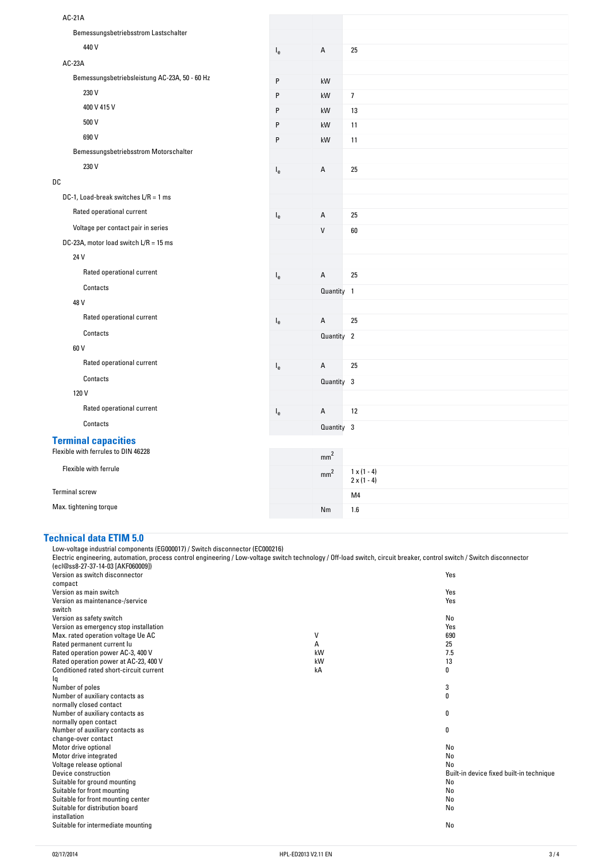| AC-21A                                        |                           |                 |                                          |
|-----------------------------------------------|---------------------------|-----------------|------------------------------------------|
|                                               |                           |                 |                                          |
| Bemessungsbetriebsstrom Lastschalter          |                           |                 |                                          |
| 440 V                                         | $I_{e}$                   | А               | 25                                       |
| AC-23A                                        |                           |                 |                                          |
| Bemessungsbetriebsleistung AC-23A, 50 - 60 Hz | $\mathsf{P}$              | kW              |                                          |
| 230 V                                         | P                         | kW              | $\overline{7}$                           |
| 400 V 415 V                                   | P                         | kW              | 13                                       |
| 500 V                                         | P                         | kW              | 11                                       |
| 690 V                                         | P                         | kW              | 11                                       |
| Bemessungsbetriebsstrom Motorschalter         |                           |                 |                                          |
| 230 V                                         | $\mathsf{I}_{\mathrm{e}}$ | А               | 25                                       |
| DC                                            |                           |                 |                                          |
| DC-1, Load-break switches $L/R = 1$ ms        |                           |                 |                                          |
| Rated operational current                     | $\mathsf{I}_{\mathsf{e}}$ | А               | 25                                       |
| Voltage per contact pair in series            |                           | V               | 60                                       |
| DC-23A, motor load switch $L/R = 15$ ms       |                           |                 |                                          |
| 24 V                                          |                           |                 |                                          |
| Rated operational current                     | $\mathsf{I}_{\mathsf{e}}$ | А               | 25                                       |
| Contacts                                      |                           | Quantity 1      |                                          |
| 48 V                                          |                           |                 |                                          |
| Rated operational current                     | $\mathsf{I}_\mathsf{e}$   | А               | 25                                       |
| Contacts                                      |                           | Quantity 2      |                                          |
| 60 V                                          |                           |                 |                                          |
| Rated operational current                     | $\mathsf{I}_{\mathsf{e}}$ | A               | 25                                       |
| Contacts                                      |                           | Quantity 3      |                                          |
| 120 V                                         |                           |                 |                                          |
| Rated operational current                     | $\mathsf{I}_\mathsf{e}$   | А               | 12                                       |
| Contacts                                      |                           | Quantity 3      |                                          |
| <b>Terminal capacities</b>                    |                           |                 |                                          |
| Flexible with ferrules to DIN 46228           |                           | mm <sup>2</sup> |                                          |
| Flexible with ferrule                         |                           | mm <sup>2</sup> | $1 \times (1 - 4)$<br>$2 \times (1 - 4)$ |
| <b>Terminal screw</b>                         |                           |                 | M4                                       |
| Max. tightening torque                        |                           | Nm              | 1.6                                      |

## **Technical-data-ETIM-5.0**

Low-voltage industrial components (EG000017) / Switch disconnector (EC000216) Electric engineering, automation, process control engineering / Low-voltage switch technology / Off-load switch, circuit breaker, control switch / Switch disconnector (ecl@ss8-27-37-14-03 [AKF060009]) Version as switch disconnector compact Yes version as main switch Yes Version as maintenance-/service switch Yes version as safety switch No.<br>
Version as safety switch No.<br>
Version as emergency stop installation Version as emergency stop installation which is a series of the series of the series of the series of the Vest<br>Max, rated operation voltage Ue AC and the Series of the Series of the Series of the Series of the Series of th Max. rated operation voltage Ue AC V 690 Rated permanent current Iu and 25 and 2012 12:5 and 2012 12:5 and 2012 12:5 and 2012 12:5 and 2012 12:5 and 20<br>Rated operation power AC-3, 400 V Rated operation power AC-3, 400 V kW 7.5 and the control of the control of the control of the control of the control of the control of the control of the control of the control of the control of the control of the control Rated operation power at AC-23, 400 V kW 13 Conditioned rated short-circuit current Iq kA 0 Number of poles 3 Number of auxiliary contacts as normally closed contact 0 Number of auxiliary contacts as normally open contact 0 Number of auxiliary contacts as change-over contact  $\mathbf 0$ Motor drive optional No. 2006 and No. 2006 and No. 2006 and No. 2006 and No. 2006 and No. 2006 and No. 2006 and No. 2006 and No. 2006 and No. 2006 and No. 2006 and No. 2006 and No. 2006 and No. 2006 and No. 2006 and No. 20 Motor drive integrated No. No. 2006 and the state of the state of the state of the state of the No. No. No. No<br>Notage release optional No. No. No. 2007 and the State of the State of the No. No. No. No. No. No. No. No. No. Voltage release optional<br>Device construction Built-in device fixed built-in technique<br>No Suitable for ground mounting No. 2006, the state of the state of the state of the state of the No. 2006, the No Suitable for front mounting No. 2006, the state of the state of the state of the state of the No. 2006, the No Suitable for front mounting center No. 2012 19:00 No. 2012 19:00 No. 2012 19:00 No. 2012 19:00 No. 2012 19:00 No Suitable for distribution board installation No Suitable for intermediate mounting No and Suite of the Suite of the Suite of the Suite of the No and No and No